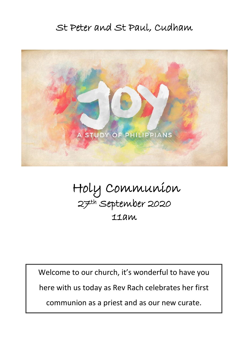# St Peter and St Paul, Cudham



# Holy Communion 27th September 2020 11am

 Welcome to our church, it's wonderful to have you here with us today as Rev Rach celebrates her first  $\overline{\phantom{a}}$ communion as a priest and as our new curate.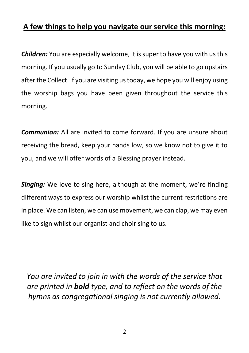### **A few things to help you navigate our service this morning:**

*Children:* You are especially welcome, it is super to have you with us this morning. If you usually go to Sunday Club, you will be able to go upstairs after the Collect. If you are visiting us today, we hope you will enjoy using the worship bags you have been given throughout the service this morning.

*Communion:* All are invited to come forward. If you are unsure about receiving the bread, keep your hands low, so we know not to give it to you, and we will offer words of a Blessing prayer instead.

*Singing:* We love to sing here, although at the moment, we're finding different ways to express our worship whilst the current restrictions are in place. We can listen, we can use movement, we can clap, we may even like to sign whilst our organist and choir sing to us.

*You are invited to join in with the words of the service that are printed in bold type, and to reflect on the words of the hymns as congregational singing is not currently allowed.*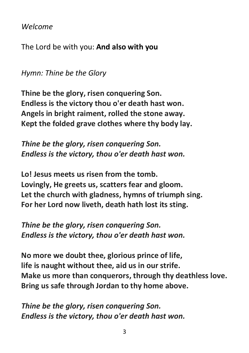*Welcome*

The Lord be with you: **And also with you**

*Hymn: Thine be the Glory*

**Thine be the glory, risen conquering Son. Endless is the victory thou o'er death hast won. Angels in bright raiment, rolled the stone away. Kept the folded grave clothes where thy body lay.**

*Thine be the glory, risen conquering Son. Endless is the victory, thou o'er death hast won.*

**Lo! Jesus meets us risen from the tomb. Lovingly, He greets us, scatters fear and gloom. Let the church with gladness, hymns of triumph sing. For her Lord now liveth, death hath lost its sting.**

*Thine be the glory, risen conquering Son. Endless is the victory, thou o'er death hast won.*

**No more we doubt thee, glorious prince of life, life is naught without thee, aid us in our strife. Make us more than conquerors, through thy deathless love. Bring us safe through Jordan to thy home above.**

*Thine be the glory, risen conquering Son. Endless is the victory, thou o'er death hast won.*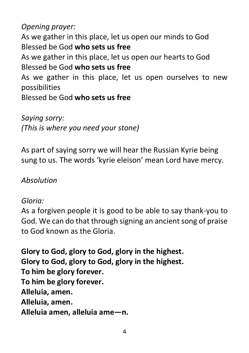*Opening prayer:* 

As we gather in this place, let us open our minds to God Blessed be God **who sets us free**

As we gather in this place, let us open our hearts to God Blessed be God **who sets us free**

As we gather in this place, let us open ourselves to new possibilities

Blessed be God **who sets us free**

*Saying sorry: (This is where you need your stone)*

As part of saying sorry we will hear the Russian Kyrie being sung to us. The words 'kyrie eleison' mean Lord have mercy.

*Absolution*

#### *Gloria:*

As a forgiven people it is good to be able to say thank-you to God. We can do that through signing an ancient song of praise to God known as the Gloria.

**Glory to God, glory to God, glory in the highest. Glory to God, glory to God, glory in the highest. To him be glory forever. To him be glory forever. Alleluia, amen. Alleluia, amen. Alleluia amen, alleluia ame—n.**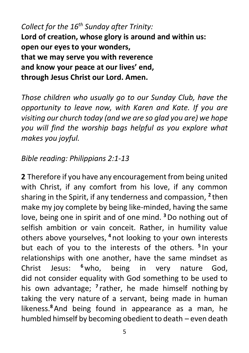*Collect for the 16th Sunday after Trinity:* **Lord of creation, whose glory is around and within us: open our eyes to your wonders, that we may serve you with reverence and know your peace at our lives' end, through Jesus Christ our Lord. Amen.**

*Those children who usually go to our Sunday Club, have the opportunity to leave now, with Karen and Kate. If you are visiting our church today (and we are so glad you are) we hope you will find the worship bags helpful as you explore what makes you joyful.*

## *Bible reading: Philippians 2:1-13*

**2** Therefore if you have any encouragement from being united with Christ, if any comfort from his love, if any common sharing in the Spirit, if any tenderness and compassion, **<sup>2</sup>** then make my joy complete by being like-minded, having the same love, being one in spirit and of one mind. **<sup>3</sup>**Do nothing out of selfish ambition or vain conceit. Rather, in humility value others above yourselves, **<sup>4</sup>** not looking to your own interests but each of you to the interests of the others. **<sup>5</sup>** In your relationships with one another, have the same mindset as Christ Jesus: **<sup>6</sup>**who, being in very nature God, did not consider equality with God something to be used to his own advantage; **<sup>7</sup>** rather, he made himself nothing by taking the very nature of a servant, being made in human likeness.**<sup>8</sup>**And being found in appearance as a man, he humbled himself by becoming obedient to death – even death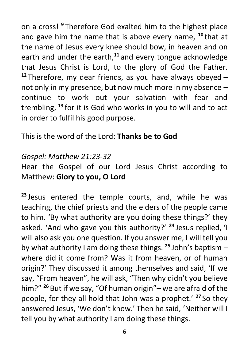on a cross! **<sup>9</sup>** Therefore God exalted him to the highest place and gave him the name that is above every name, **<sup>10</sup>** that at the name of Jesus every knee should bow, in heaven and on earth and under the earth,**<sup>11</sup>** and every tongue acknowledge that Jesus Christ is Lord, to the glory of God the Father. **<sup>12</sup>** Therefore, my dear friends, as you have always obeyed – not only in my presence, but now much more in my absence – continue to work out your salvation with fear and trembling, **<sup>13</sup>** for it is God who works in you to will and to act in order to fulfil his good purpose.

## This is the word of the Lord: **Thanks be to God**

## *Gospel: Matthew 21:23-32*

Hear the Gospel of our Lord Jesus Christ according to Matthew: **Glory to you, O Lord**

**<sup>23</sup>** Jesus entered the temple courts, and, while he was teaching, the chief priests and the elders of the people came to him. 'By what authority are you doing these things?' they asked. 'And who gave you this authority?' **<sup>24</sup>** Jesus replied, 'I will also ask you one question. If you answer me, I will tell you by what authority I am doing these things. **<sup>25</sup>** John's baptism – where did it come from? Was it from heaven, or of human origin?' They discussed it among themselves and said, 'If we say, "From heaven", he will ask, "Then why didn't you believe him?" **<sup>26</sup>** But if we say, "Of human origin"– we are afraid of the people, for they all hold that John was a prophet.' **<sup>27</sup>** So they answered Jesus, 'We don't know.' Then he said, 'Neither will I tell you by what authority I am doing these things.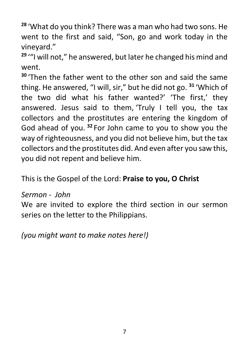**<sup>28</sup>** 'What do you think? There was a man who had two sons. He went to the first and said, "Son, go and work today in the vineyard."

**<sup>29</sup>** '"I will not," he answered, but later he changed his mind and went.

**<sup>30</sup>** 'Then the father went to the other son and said the same thing. He answered, "I will, sir," but he did not go. **<sup>31</sup>** 'Which of the two did what his father wanted?' 'The first,' they answered. Jesus said to them, 'Truly I tell you, the tax collectors and the prostitutes are entering the kingdom of God ahead of you. **<sup>32</sup>** For John came to you to show you the way of righteousness, and you did not believe him, but the tax collectors and the prostitutes did. And even after you saw this, you did not repent and believe him.

This is the Gospel of the Lord: **Praise to you, O Christ**

#### *Sermon - John*

We are invited to explore the third section in our sermon series on the letter to the Philippians.

*(you might want to make notes here!)*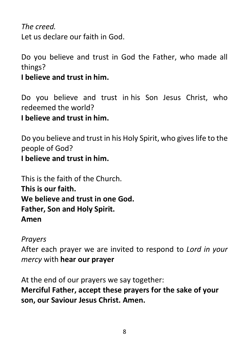*The creed.* Let us declare our faith in God.

Do you believe and trust in God the Father, who made all things?

**I believe and trust in him.**

Do you believe and trust in his Son Jesus Christ, who redeemed the world?

## **I believe and trust in him.**

Do you believe and trust in his Holy Spirit, who gives life to the people of God?

**I believe and trust in him.**

This is the faith of the Church. **This is our faith. We believe and trust in one God. Father, Son and Holy Spirit. Amen**

*Prayers*

After each prayer we are invited to respond to *Lord in your mercy* with **hear our prayer**

At the end of our prayers we say together:

**Merciful Father, accept these prayers for the sake of your son, our Saviour Jesus Christ. Amen.**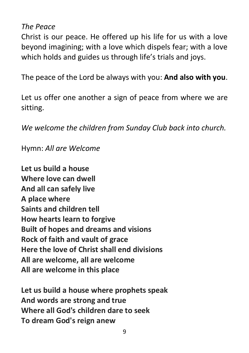*The Peace*

Christ is our peace. He offered up his life for us with a love beyond imagining; with a love which dispels fear; with a love which holds and guides us through life's trials and joys.

The peace of the Lord be always with you: **And also with you**.

Let us offer one another a sign of peace from where we are sitting.

*We welcome the children from Sunday Club back into church.*

Hymn: *All are Welcome*

**Let us build a house Where love can dwell And all can safely live A place where Saints and children tell How hearts learn to forgive Built of hopes and dreams and visions Rock of faith and vault of grace Here the love of Christ shall end divisions All are welcome, all are welcome All are welcome in this place**

**Let us build a house where prophets speak And words are strong and true Where all God's children dare to seek To dream God's reign anew**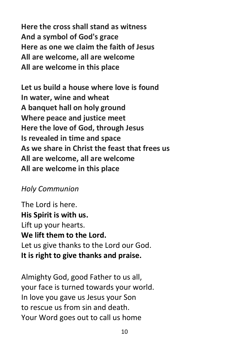**Here the cross shall stand as witness And a symbol of God's grace Here as one we claim the faith of Jesus All are welcome, all are welcome All are welcome in this place**

**Let us build a house where love is found In water, wine and wheat A banquet hall on holy ground Where peace and justice meet Here the love of God, through Jesus Is revealed in time and space As we share in Christ the feast that frees us All are welcome, all are welcome All are welcome in this place**

#### *Holy Communion*

The Lord is here. **His Spirit is with us.** Lift up your hearts. **We lift them to the Lord.** Let us give thanks to the Lord our God. **It is right to give thanks and praise.**

Almighty God, good Father to us all, your face is turned towards your world. In love you gave us Jesus your Son to rescue us from sin and death. Your Word goes out to call us home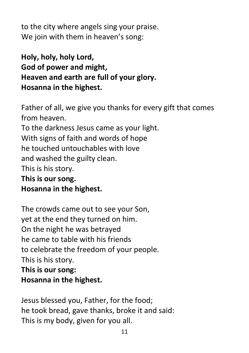to the city where angels sing your praise. We join with them in heaven's song:

**Holy, holy, holy Lord, God of power and might, Heaven and earth are full of your glory. Hosanna in the highest.**

Father of all, we give you thanks for every gift that comes from heaven. To the darkness Jesus came as your light. With signs of faith and words of hope he touched untouchables with love and washed the guilty clean. This is his story. **This is our song. Hosanna in the highest.**

The crowds came out to see your Son, yet at the end they turned on him. On the night he was betrayed he came to table with his friends to celebrate the freedom of your people. This is his story. **This is our song: Hosanna in the highest.**

Jesus blessed you, Father, for the food; he took bread, gave thanks, broke it and said: This is my body, given for you all.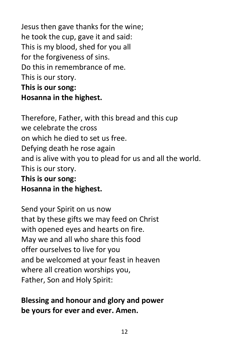Jesus then gave thanks for the wine; he took the cup, gave it and said: This is my blood, shed for you all for the forgiveness of sins. Do this in remembrance of me. This is our story. **This is our song: Hosanna in the highest.**

Therefore, Father, with this bread and this cup we celebrate the cross on which he died to set us free. Defying death he rose again and is alive with you to plead for us and all the world. This is our story. **This is our song: Hosanna in the highest.**

Send your Spirit on us now that by these gifts we may feed on Christ with opened eyes and hearts on fire. May we and all who share this food offer ourselves to live for you and be welcomed at your feast in heaven where all creation worships you, Father, Son and Holy Spirit:

## **Blessing and honour and glory and power be yours for ever and ever. Amen.**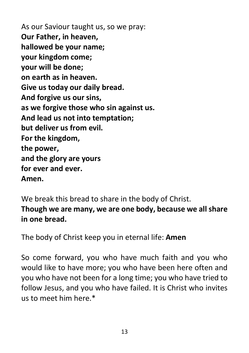As our Saviour taught us, so we pray: **Our Father, in heaven, hallowed be your name; your kingdom come; your will be done; on earth as in heaven. Give us today our daily bread. And forgive us our sins, as we forgive those who sin against us. And lead us not into temptation; but deliver us from evil. For the kingdom, the power, and the glory are yours for ever and ever. Amen.**

We break this bread to share in the body of Christ. **Though we are many, we are one body, because we all share in one bread.**

The body of Christ keep you in eternal life: **Amen**

So come forward, you who have much faith and you who would like to have more; you who have been here often and you who have not been for a long time; you who have tried to follow Jesus, and you who have failed. It is Christ who invites  $\mu$ s to meet him here $*$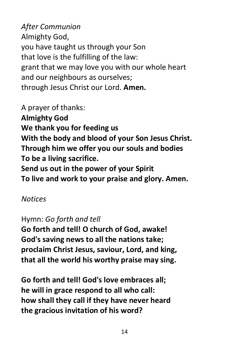*After Communion* Almighty God, you have taught us through your Son that love is the fulfilling of the law: grant that we may love you with our whole heart and our neighbours as ourselves; through Jesus Christ our Lord. **Amen.**

A prayer of thanks: **Almighty God We thank you for feeding us With the body and blood of your Son Jesus Christ. Through him we offer you our souls and bodies To be a living sacrifice. Send us out in the power of your Spirit To live and work to your praise and glory. Amen.**

#### *Notices*

## Hymn: *Go forth and tell*

**Go forth and tell! O church of God, awake! God's saving news to all the nations take; proclaim Christ Jesus, saviour, Lord, and king, that all the world his worthy praise may sing.**

**Go forth and tell! God's love embraces all; he will in grace respond to all who call: how shall they call if they have never heard the gracious invitation of his word?**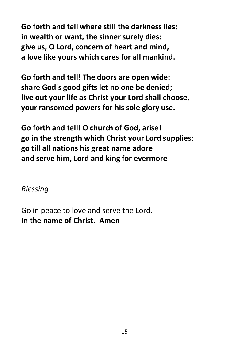**Go forth and tell where still the darkness lies; in wealth or want, the sinner surely dies: give us, O Lord, concern of heart and mind, a love like yours which cares for all mankind.**

**Go forth and tell! The doors are open wide: share God's good gifts let no one be denied; live out your life as Christ your Lord shall choose, your ransomed powers for his sole glory use.**

**Go forth and tell! O church of God, arise! go in the strength which Christ your Lord supplies; go till all nations his great name adore and serve him, Lord and king for evermore**

*Blessing*

Go in peace to love and serve the Lord. **In the name of Christ. Amen**